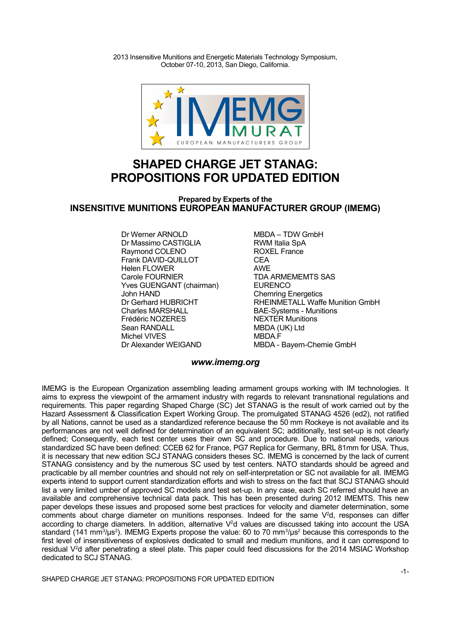2013 Insensitive Munitions and Energetic Materials Technology Symposium, October 07-10, 2013, San Diego, California.



# **SHAPED CHARGE JET STANAG: PROPOSITIONS FOR UPDATED EDITION**

### **Prepared by Experts of the INSENSITIVE MUNITIONS EUROPEAN MANUFACTURER GROUP (IMEMG)**

Dr Werner ARNOLD<br>
Dr Massimo CASTIGLIA

Here The RWM Italia SpA Dr Massimo CASTIGLIA **RWM Italia SpA**<br>Raymond COLENO ROXEL France Raymond COLENO<br>Frank DAVID-QUILLOT France CEA Frank DAVID-QUILLOT Helen FLOWER **AWE** Carole FOURNIER TDA ARMEMEMTS SAS Yves GUENGANT (chairman) EURENCO John HAND<br>Dr Gerhard HUBRICHT FRIEINMETALL Waff Frédéric NOZERES<br>Sean RANDALL Michel VIVES<br>Dr Alexander WEIGAND

Dr Gerhard HUBRICHT<br>Charles MARSHALL Charles Munitions<br>BAE-Systems - Munitions BAE-Systems - Munitions<br>NEXTER Munitions MBDA (UK) Ltd<br>MBDA F MBDA - Bayern-Chemie GmbH

### *<www.imemg.org>*

IMEMG is the European Organization assembling leading armament groups working with IM technologies. It aims to express the viewpoint of the armament industry with regards to relevant transnational regulations and requirements. This paper regarding Shaped Charge (SC) Jet STANAG is the result of work carried out by the Hazard Assessment & Classification Expert Working Group. The promulgated STANAG 4526 (ed2), not ratified by all Nations, cannot be used as a standardized reference because the 50 mm Rockeye is not available and its performances are not well defined for determination of an equivalent SC; additionally, test set-up is not clearly defined; Consequently, each test center uses their own SC and procedure. Due to national needs, various standardized SC have been defined: CCEB 62 for France, PG7 Replica for Germany, BRL 81mm for USA. Thus, it is necessary that new edition SCJ STANAG considers theses SC. IMEMG is concerned by the lack of current STANAG consistency and by the numerous SC used by test centers. NATO standards should be agreed and practicable by all member countries and should not rely on self-interpretation or SC not available for all. IMEMG experts intend to support current standardization efforts and wish to stress on the fact that SCJ STANAG should list a very limited umber of approved SC models and test set-up. In any case, each SC referred should have an available and comprehensive technical data pack. This has been presented during 2012 IMEMTS. This new paper develops these issues and proposed some best practices for velocity and diameter determination, some comments about charge diameter on munitions responses. Indeed for the same  $V^2d$ , responses can differ according to charge diameters. In addition, alternative V<sup>2</sup>d values are discussed taking into account the USA standard (141 mm<sup>3</sup>/μs<sup>2</sup>). IMEMG Experts propose the value: 60 to 70 mm<sup>3</sup>/μs<sup>2</sup> because this corresponds to the first level of insensitiveness of explosives dedicated to small and medium munitions, and it can correspond to residual V <sup>2</sup>d after penetrating a steel plate. This paper could feed discussions for the 2014 MSIAC Workshop dedicated to SCJ STANAG.

SHAPED CHARGE JET STANAG: PROPOSITIONS FOR UPDATED EDITION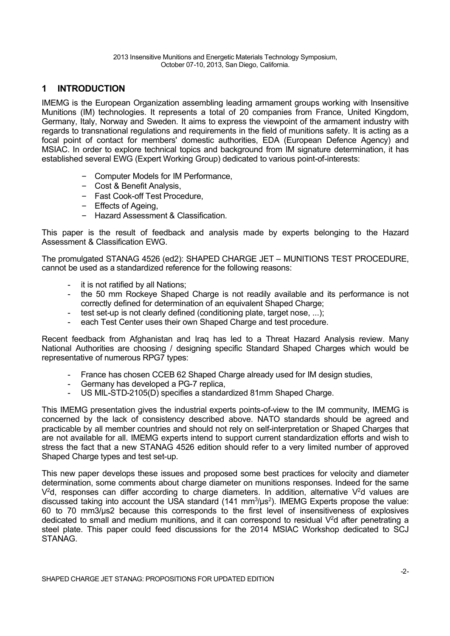# **1 INTRODUCTION**

IMEMG is the European Organization assembling leading armament groups working with Insensitive Munitions (IM) technologies. It represents a total of 20 companies from France, United Kingdom, Germany, Italy, Norway and Sweden. It aims to express the viewpoint of the armament industry with regards to transnational regulations and requirements in the field of munitions safety. It is acting as a focal point of contact for members' domestic authorities, EDA (European Defence Agency) and MSIAC. In order to explore technical topics and background from IM signature determination, it has established several EWG (Expert Working Group) dedicated to various point-of-interests:

- Computer Models for IM Performance,
- Cost & Benefit Analysis,
- Fast Cook-off Test Procedure,
- Effects of Ageing,
- Hazard Assessment & Classification.

This paper is the result of feedback and analysis made by experts belonging to the Hazard Assessment & Classification EWG.

The promulgated STANAG 4526 (ed2): SHAPED CHARGE JET – MUNITIONS TEST PROCEDURE, cannot be used as a standardized reference for the following reasons:

- it is not ratified by all Nations;
- the 50 mm Rockeye Shaped Charge is not readily available and its performance is not correctly defined for determination of an equivalent Shaped Charge;
- test set-up is not clearly defined (conditioning plate, target nose, ...);
- each Test Center uses their own Shaped Charge and test procedure.

Recent feedback from Afghanistan and Iraq has led to a Threat Hazard Analysis review. Many National Authorities are choosing / designing specific Standard Shaped Charges which would be representative of numerous RPG7 types:

- France has chosen CCEB 62 Shaped Charge already used for IM design studies,
- Germany has developed a PG-7 replica,
- US MIL-STD-2105(D) specifies a standardized 81mm Shaped Charge.

This IMEMG presentation gives the industrial experts points-of-view to the IM community, IMEMG is concerned by the lack of consistency described above. NATO standards should be agreed and practicable by all member countries and should not rely on self-interpretation or Shaped Charges that are not available for all. IMEMG experts intend to support current standardization efforts and wish to stress the fact that a new STANAG 4526 edition should refer to a very limited number of approved Shaped Charge types and test set-up.

This new paper develops these issues and proposed some best practices for velocity and diameter determination, some comments about charge diameter on munitions responses. Indeed for the same  $V^2$ d, responses can differ according to charge diameters. In addition, alternative  $V^2$ d values are discussed taking into account the USA standard (141  $mm<sup>3</sup>/\mu s<sup>2</sup>$ ). IMEMG Experts propose the value: 60 to 70 mm3/μs2 because this corresponds to the first level of insensitiveness of explosives dedicated to small and medium munitions, and it can correspond to residual V<sup>2</sup>d after penetrating a steel plate. This paper could feed discussions for the 2014 MSIAC Workshop dedicated to SCJ STANAG.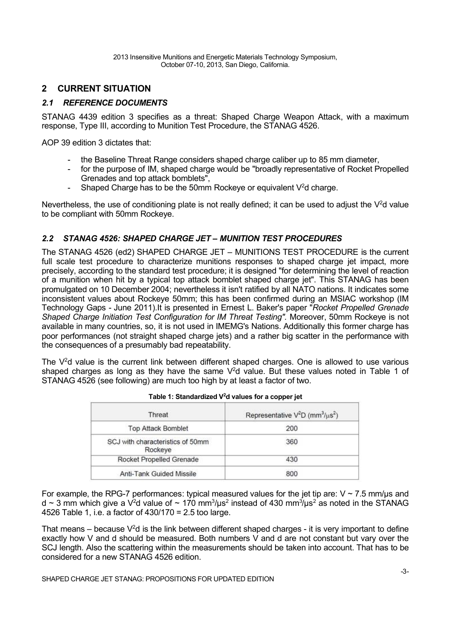# **2 CURRENT SITUATION**

# *2.1 REFERENCE DOCUMENTS*

STANAG 4439 edition 3 specifies as a threat: Shaped Charge Weapon Attack, with a maximum response, Type III, according to Munition Test Procedure, the STANAG 4526.

AOP 39 edition 3 dictates that:

- the Baseline Threat Range considers shaped charge caliber up to 85 mm diameter,
- for the purpose of IM, shaped charge would be "broadly representative of Rocket Propelled Grenades and top attack bomblets",
- Shaped Charge has to be the 50mm Rockeye or equivalent  $V^2$ d charge.

Nevertheless, the use of conditioning plate is not really defined; it can be used to adjust the  $V^2$ d value to be compliant with 50mm Rockeye.

## *2.2 STANAG 4526: SHAPED CHARGE JET – MUNITION TEST PROCEDURES*

The STANAG 4526 (ed2) SHAPED CHARGE JET – MUNITIONS TEST PROCEDURE is the current full scale test procedure to characterize munitions responses to shaped charge jet impact, more precisely, according to the standard test procedure; it is designed "for determining the level of reaction of a munition when hit by a typical top attack bomblet shaped charge jet". This STANAG has been promulgated on 10 December 2004; nevertheless it isn't ratified by all NATO nations. It indicates some inconsistent values about Rockeye 50mm; this has been confirmed during an MSIAC workshop (IM Technology Gaps - June 2011).It is presented in Ernest L. Baker's paper "*Rocket Propelled Grenade Shaped Charge Initiation Test Configuration for IM Threat Testing".* Moreover, 50mm Rockeye is not available in many countries, so, it is not used in IMEMG's Nations. Additionally this former charge has poor performances (not straight shaped charge jets) and a rather big scatter in the performance with the consequences of a presumably bad repeatability.

The  $V^2$ d value is the current link between different shaped charges. One is allowed to use various shaped charges as long as they have the same  $V^2$ d value. But these values noted in Table 1 of STANAG 4526 (see following) are much too high by at least a factor of two.

| Threat                                      | Representative $V^2D$ (mm <sup>3</sup> / $\mu$ s <sup>2</sup> ) |
|---------------------------------------------|-----------------------------------------------------------------|
| <b>Top Attack Bomblet</b>                   | 200                                                             |
| SCJ with characteristics of 50mm<br>Rockeye | 360                                                             |
| Rocket Propelled Grenade                    | 430                                                             |
| Anti-Tank Guided Missile                    | 800                                                             |

| Table 1: Standardized V <sup>2</sup> d values for a copper jet |
|----------------------------------------------------------------|
|                                                                |

For example, the RPG-7 performances: typical measured values for the jet tip are:  $V \sim 7.5$  mm/ $\mu s$  and d ~ 3 mm which give a V<sup>2</sup>d value of ~ 170 mm<sup>3</sup>/µs<sup>2</sup> instead of 430 mm<sup>3</sup>/µs<sup>2</sup> as noted in the STANAG 4526 Table 1, i.e. a factor of 430/170 = 2.5 too large.

That means – because  $V^2d$  is the link between different shaped charges - it is very important to define exactly how V and d should be measured. Both numbers V and d are not constant but vary over the SCJ length. Also the scattering within the measurements should be taken into account. That has to be considered for a new STANAG 4526 edition.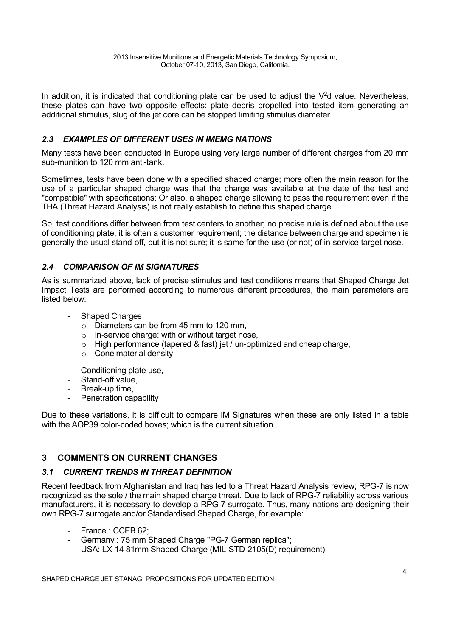In addition, it is indicated that conditioning plate can be used to adjust the  $V^2$ d value. Nevertheless, these plates can have two opposite effects: plate debris propelled into tested item generating an additional stimulus, slug of the jet core can be stopped limiting stimulus diameter.

## *2.3 EXAMPLES OF DIFFERENT USES IN IMEMG NATIONS*

Many tests have been conducted in Europe using very large number of different charges from 20 mm sub-munition to 120 mm anti-tank.

Sometimes, tests have been done with a specified shaped charge; more often the main reason for the use of a particular shaped charge was that the charge was available at the date of the test and "compatible" with specifications; Or also, a shaped charge allowing to pass the requirement even if the THA (Threat Hazard Analysis) is not really establish to define this shaped charge.

So, test conditions differ between from test centers to another; no precise rule is defined about the use of conditioning plate, it is often a customer requirement; the distance between charge and specimen is generally the usual stand-off, but it is not sure; it is same for the use (or not) of in-service target nose.

### *2.4 COMPARISON OF IM SIGNATURES*

As is summarized above, lack of precise stimulus and test conditions means that Shaped Charge Jet Impact Tests are performed according to numerous different procedures, the main parameters are listed below:

- Shaped Charges:
	- o Diameters can be from 45 mm to 120 mm,
	- o In-service charge: with or without target nose,
	- $\circ$  High performance (tapered & fast) jet / un-optimized and cheap charge,
	- $\circ$  Cone material density,
- Conditioning plate use,
- Stand-off value,
- Break-up time,
- Penetration capability

Due to these variations, it is difficult to compare IM Signatures when these are only listed in a table with the AOP39 color-coded boxes; which is the current situation.

## **3 COMMENTS ON CURRENT CHANGES**

### *3.1 CURRENT TRENDS IN THREAT DEFINITION*

Recent feedback from Afghanistan and Iraq has led to a Threat Hazard Analysis review; RPG-7 is now recognized as the sole / the main shaped charge threat. Due to lack of RPG-7 reliability across various manufacturers, it is necessary to develop a RPG-7 surrogate. Thus, many nations are designing their own RPG-7 surrogate and/or Standardised Shaped Charge, for example:

- France : CCEB 62;
- Germany : 75 mm Shaped Charge "PG-7 German replica";
- USA: LX-14 81mm Shaped Charge (MIL-STD-2105(D) requirement).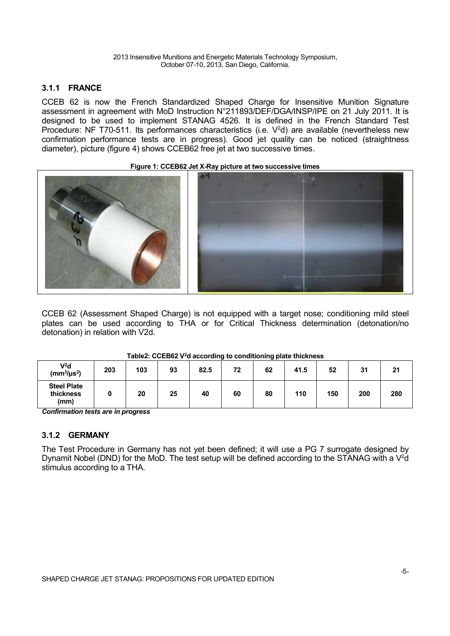### **3.1.1 FRANCE**

CCEB 62 is now the French Standardized Shaped Charge for Insensitive Munition Signature assessment in agreement with MoD Instruction N°211893/DEF/DGA/INSP/IPE on 21 July 2011. It is designed to be used to implement STANAG 4526. It is defined in the French Standard Test Procedure: NF T70-511. Its performances characteristics (i.e. V<sup>2</sup>d) are available (nevertheless new confirmation performance tests are in progress). Good jet quality can be noticed (straightness diameter), picture (figure 4) shows CCEB62 free jet at two successive times.

### **Figure 1: CCEB62 Jet X-Ray picture at two successive times**



CCEB 62 (Assessment Shaped Charge) is not equipped with a target nose; conditioning mild steel plates can be used according to THA or for Critical Thickness determination (detonation/no detonation) in relation with V2d.

#### **V<sup>2</sup>d (mm<sup>3</sup> /μs<sup>2</sup> ) 203 103 93 82.5 72 62 41.5 52 31 21 Steel Plate thickness (mm) 0 20 25 40 60 80 110 150 200 280**

### **Table2: CCEB62 V <sup>2</sup>d according to conditioning plate thickness**

*Confirmation tests are in progress*

## **3.1.2 GERMANY**

The Test Procedure in Germany has not yet been defined; it will use a PG 7 surrogate designed by Dynamit Nobel (DND) for the MoD. The test setup will be defined according to the STANAG with a  $V^2d$ stimulus according to a THA.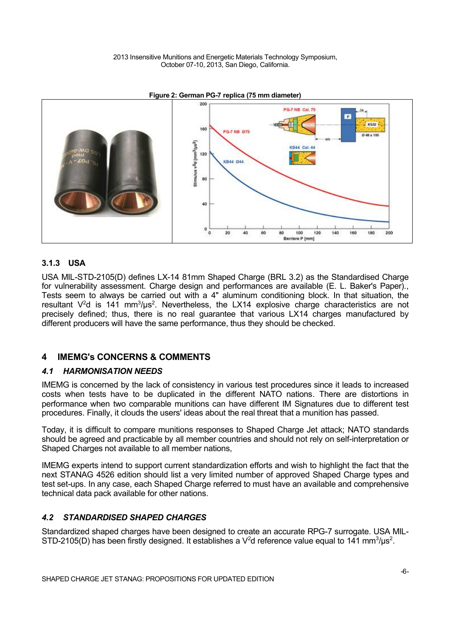2013 Insensitive Munitions and Energetic Materials Technology Symposium, October 07-10, 2013, San Diego, California.



### **Figure 2: German PG-7 replica (75 mm diameter)**

### **3.1.3 USA**

USA MIL-STD-2105(D) defines LX-14 81mm Shaped Charge (BRL 3.2) as the Standardised Charge for vulnerability assessment. Charge design and performances are available (E. L. Baker's Paper)., Tests seem to always be carried out with a 4" aluminum conditioning block. In that situation, the resultant  $V^2$ d is 141 mm<sup>3</sup>/µs<sup>2</sup>. Nevertheless, the LX14 explosive charge characteristics are not precisely defined; thus, there is no real guarantee that various LX14 charges manufactured by different producers will have the same performance, thus they should be checked.

### **4 IMEMG's CONCERNS & COMMENTS**

### *4.1 HARMONISATION NEEDS*

IMEMG is concerned by the lack of consistency in various test procedures since it leads to increased costs when tests have to be duplicated in the different NATO nations. There are distortions in performance when two comparable munitions can have different IM Signatures due to different test procedures. Finally, it clouds the users' ideas about the real threat that a munition has passed.

Today, it is difficult to compare munitions responses to Shaped Charge Jet attack; NATO standards should be agreed and practicable by all member countries and should not rely on self-interpretation or Shaped Charges not available to all member nations,

IMEMG experts intend to support current standardization efforts and wish to highlight the fact that the next STANAG 4526 edition should list a very limited number of approved Shaped Charge types and test set-ups. In any case, each Shaped Charge referred to must have an available and comprehensive technical data pack available for other nations.

### *4.2 STANDARDISED SHAPED CHARGES*

Standardized shaped charges have been designed to create an accurate RPG-7 surrogate. USA MIL-STD-2105(D) has been firstly designed. It establishes a V<sup>2</sup>d reference value equal to 141 mm<sup>3</sup>/µs<sup>2</sup>.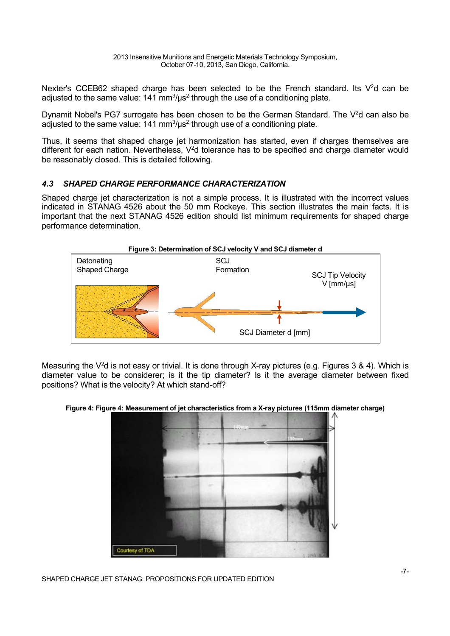Nexter's CCEB62 shaped charge has been selected to be the French standard. Its V<sup>2</sup>d can be adjusted to the same value: 141 mm $3/\mu s^2$  through the use of a conditioning plate.

Dynamit Nobel's PG7 surrogate has been chosen to be the German Standard. The V<sup>2</sup>d can also be adjusted to the same value: 141 mm $\frac{3}{\mu}$ s<sup>2</sup> through use of a conditioning plate.

Thus, it seems that shaped charge jet harmonization has started, even if charges themselves are different for each nation. Nevertheless,  $V^2$ d tolerance has to be specified and charge diameter would be reasonably closed. This is detailed following.

# *4.3 SHAPED CHARGE PERFORMANCE CHARACTERIZATION*

Shaped charge jet characterization is not a simple process. It is illustrated with the incorrect values indicated in STANAG 4526 about the 50 mm Rockeye. This section illustrates the main facts. It is important that the next STANAG 4526 edition should list minimum requirements for shaped charge performance determination.



Measuring the V<sup>2</sup>d is not easy or trivial. It is done through X-ray pictures (e.g. Figures 3 & 4). Which is diameter value to be considerer; is it the tip diameter? Is it the average diameter between fixed positions? What is the velocity? At which stand-off?

**Figure 4: Figure 4: Measurement of jet characteristics from a X-ray pictures (115mm diameter charge)**



SHAPED CHARGE JET STANAG: PROPOSITIONS FOR UPDATED EDITION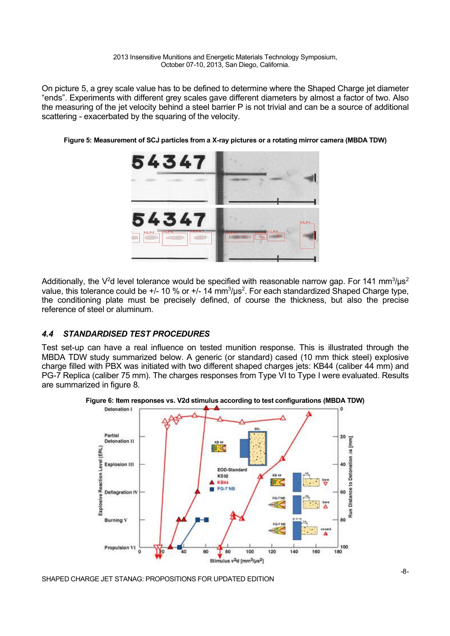2013 Insensitive Munitions and Energetic Materials Technology Symposium, October 07-10, 2013, San Diego, California.

On picture 5, a grey scale value has to be defined to determine where the Shaped Charge jet diameter "ends". Experiments with different grey scales gave different diameters by almost a factor of two. Also the measuring of the jet velocity behind a steel barrier P is not trivial and can be a source of additional scattering - exacerbated by the squaring of the velocity.



**Figure 5: Measurement of SCJ particles from a X-ray pictures or a rotating mirror camera (MBDA TDW)**

Additionally, the V<sup>2</sup>d level tolerance would be specified with reasonable narrow gap. For 141 mm<sup>3</sup>/µs<sup>2</sup> value, this tolerance could be  $+$ /- 10 % or  $+$ /- 14 mm<sup>3</sup>/µs<sup>2</sup>. For each standardized Shaped Charge type, the conditioning plate must be precisely defined, of course the thickness, but also the precise reference of steel or aluminum.

### *4.4 STANDARDISED TEST PROCEDURES*

Test set-up can have a real influence on tested munition response. This is illustrated through the MBDA TDW study summarized below. A generic (or standard) cased (10 mm thick steel) explosive charge filled with PBX was initiated with two different shaped charges jets: KB44 (caliber 44 mm) and PG-7 Replica (caliber 75 mm). The charges responses from Type VI to Type I were evaluated. Results are summarized in figure 8.



**Figure 6: Item responses vs. V2d stimulus according to test configurations (MBDA TDW)**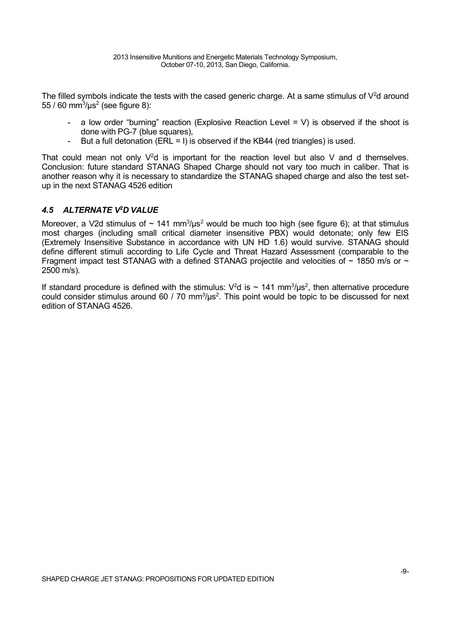The filled symbols indicate the tests with the cased generic charge. At a same stimulus of  $V^2$ d around 55 / 60 mm $^{3}$ /µs $^{2}$  (see figure 8):

- a low order "burning" reaction (Explosive Reaction Level = V) is observed if the shoot is done with PG-7 (blue squares),
- But a full detonation (ERL = I) is observed if the KB44 (red triangles) is used.

That could mean not only  $V^2d$  is important for the reaction level but also V and d themselves. Conclusion: future standard STANAG Shaped Charge should not vary too much in caliber. That is another reason why it is necessary to standardize the STANAG shaped charge and also the test setup in the next STANAG 4526 edition

### *4.5 ALTERNATE V <sup>2</sup>D VALUE*

Moreover, a V2d stimulus of  $\sim 141 \text{ mm}^3/\mu\text{s}^2$  would be much too high (see figure 6); at that stimulus most charges (including small critical diameter insensitive PBX) would detonate; only few EIS (Extremely Insensitive Substance in accordance with UN HD 1.6) would survive. STANAG should define different stimuli according to Life Cycle and Threat Hazard Assessment (comparable to the Fragment impact test STANAG with a defined STANAG projectile and velocities of  $\sim$  1850 m/s or  $\sim$ 2500 m/s).

If standard procedure is defined with the stimulus:  $V^2$ d is ~ 141 mm<sup>3</sup>/µs<sup>2</sup>, then alternative procedure could consider stimulus around 60 / 70 mm<sup>3</sup>/ $\mu$ s<sup>2</sup>. This point would be topic to be discussed for next edition of STANAG 4526.